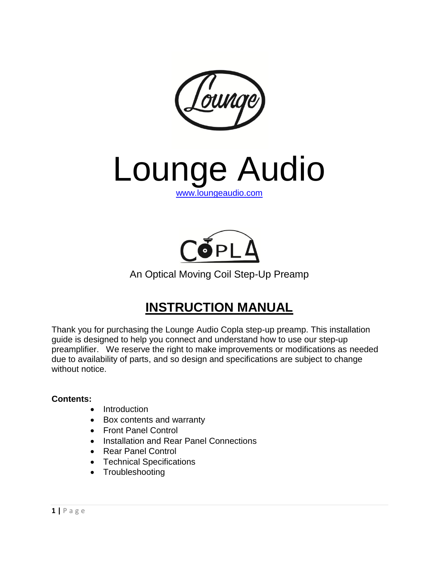

Lounge Audio [www.loungeaudio.com](http://www.loungeaudio.com/)



An Optical Moving Coil Step-Up Preamp

# **INSTRUCTION MANUAL**

Thank you for purchasing the Lounge Audio Copla step-up preamp. This installation guide is designed to help you connect and understand how to use our step-up preamplifier. We reserve the right to make improvements or modifications as needed due to availability of parts, and so design and specifications are subject to change without notice.

#### **Contents:**

- Introduction
- Box contents and warranty
- Front Panel Control
- Installation and Rear Panel Connections
- Rear Panel Control
- Technical Specifications
- Troubleshooting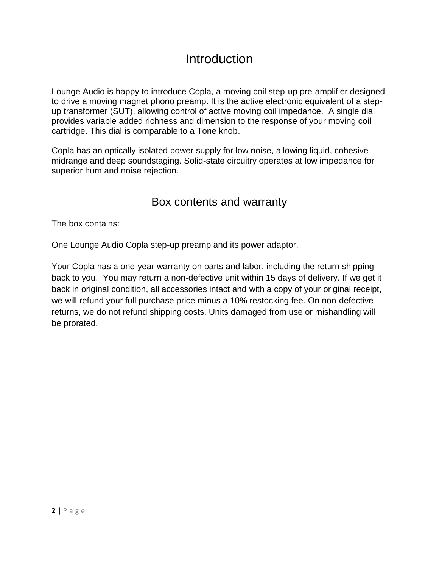# **Introduction**

Lounge Audio is happy to introduce Copla, a moving coil step-up pre-amplifier designed to drive a moving magnet phono preamp. It is the active electronic equivalent of a stepup transformer (SUT), allowing control of active moving coil impedance. A single dial provides variable added richness and dimension to the response of your moving coil cartridge. This dial is comparable to a Tone knob.

Copla has an optically isolated power supply for low noise, allowing liquid, cohesive midrange and deep soundstaging. Solid-state circuitry operates at low impedance for superior hum and noise rejection.

#### Box contents and warranty

The box contains:

One Lounge Audio Copla step-up preamp and its power adaptor.

Your Copla has a one-year warranty on parts and labor, including the return shipping back to you. You may return a non-defective unit within 15 days of delivery. If we get it back in original condition, all accessories intact and with a copy of your original receipt, we will refund your full purchase price minus a 10% restocking fee. On non-defective returns, we do not refund shipping costs. Units damaged from use or mishandling will be prorated.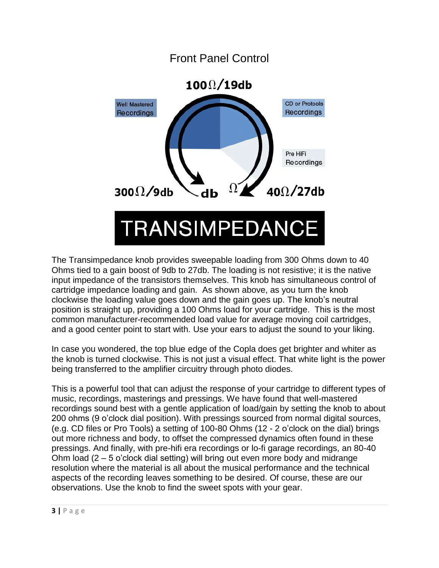

The Transimpedance knob provides sweepable loading from 300 Ohms down to 40 Ohms tied to a gain boost of 9db to 27db. The loading is not resistive; it is the native input impedance of the transistors themselves. This knob has simultaneous control of cartridge impedance loading and gain. As shown above, as you turn the knob clockwise the loading value goes down and the gain goes up. The knob's neutral position is straight up, providing a 100 Ohms load for your cartridge. This is the most common manufacturer-recommended load value for average moving coil cartridges, and a good center point to start with. Use your ears to adjust the sound to your liking.

In case you wondered, the top blue edge of the Copla does get brighter and whiter as the knob is turned clockwise. This is not just a visual effect. That white light is the power being transferred to the amplifier circuitry through photo diodes.

This is a powerful tool that can adjust the response of your cartridge to different types of music, recordings, masterings and pressings. We have found that well-mastered recordings sound best with a gentle application of load/gain by setting the knob to about 200 ohms (9 o'clock dial position). With pressings sourced from normal digital sources, (e.g. CD files or Pro Tools) a setting of 100-80 Ohms (12 - 2 o'clock on the dial) brings out more richness and body, to offset the compressed dynamics often found in these pressings. And finally, with pre-hifi era recordings or lo-fi garage recordings, an 80-40 Ohm load (2 – 5 o'clock dial setting) will bring out even more body and midrange resolution where the material is all about the musical performance and the technical aspects of the recording leaves something to be desired. Of course, these are our observations. Use the knob to find the sweet spots with your gear.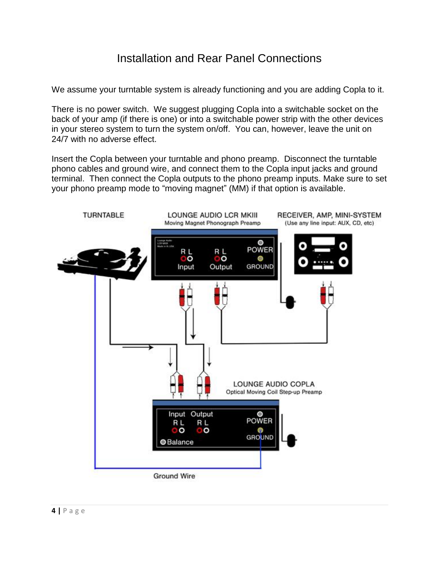## Installation and Rear Panel Connections

We assume your turntable system is already functioning and you are adding Copla to it.

There is no power switch. We suggest plugging Copla into a switchable socket on the back of your amp (if there is one) or into a switchable power strip with the other devices in your stereo system to turn the system on/off. You can, however, leave the unit on 24/7 with no adverse effect.

Insert the Copla between your turntable and phono preamp. Disconnect the turntable phono cables and ground wire, and connect them to the Copla input jacks and ground terminal. Then connect the Copla outputs to the phono preamp inputs. Make sure to set your phono preamp mode to "moving magnet" (MM) if that option is available.

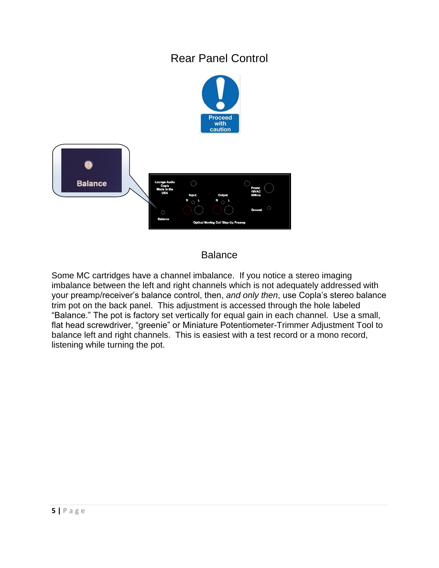# Rear Panel Control



#### Balance

Some MC cartridges have a channel imbalance. If you notice a stereo imaging imbalance between the left and right channels which is not adequately addressed with your preamp/receiver's balance control, then, *and only then*, use Copla's stereo balance trim pot on the back panel. This adjustment is accessed through the hole labeled "Balance." The pot is factory set vertically for equal gain in each channel. Use a small, flat head screwdriver, "greenie" or Miniature Potentiometer-Trimmer Adjustment Tool to balance left and right channels. This is easiest with a test record or a mono record, listening while turning the pot.